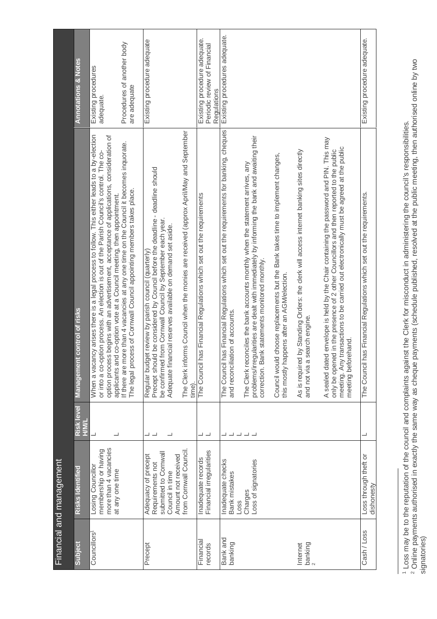|                                     | Financial and management                                                                                                             |                           |                                                                                                                                                                                                                                                                                                                                                                                                                                                                                                                                    |                                                                                |
|-------------------------------------|--------------------------------------------------------------------------------------------------------------------------------------|---------------------------|------------------------------------------------------------------------------------------------------------------------------------------------------------------------------------------------------------------------------------------------------------------------------------------------------------------------------------------------------------------------------------------------------------------------------------------------------------------------------------------------------------------------------------|--------------------------------------------------------------------------------|
| Subject                             | Risks Identified                                                                                                                     | Risk level<br><b>HWIL</b> | t control of risks<br><u>Management</u>                                                                                                                                                                                                                                                                                                                                                                                                                                                                                            | <b>Annotations &amp; Notes</b>                                                 |
| Councillors <sup>1</sup>            | more than 4 vacancies<br>membership or having<br>Losing Councillor<br>at any one time                                                | ┙                         | When a vacancy arises there is a legal process to follow. This either leads to a by-election<br>option process begins with an advertisement, acceptance of applications, consideration of<br>If there are more than 4 vacancies at any one time on the Council it becomes inquorate.<br>or into a co-option process. An election is out of the Parish Council's control. The co-<br>The legal process of Cornwall Council appointing members takes place.<br>applicants and co-option vote at a Council meeting, then appointment. | Procedures of another body<br>Existing procedures<br>are adequate<br>adequate. |
| Precept                             | from Cornwall Council.<br>submitted to Cornwall<br>Adequacy of precept<br>Amount not received<br>Requirements not<br>Council in time | ┙┙                        | The Clerk informs Council when the monies are received (approx April/May and September<br>Precept should be considered by Council before the deadline - deadline should<br>be confirmed from Cornwall Council by September each year.<br>Adequate financial reserves available on demand set aside.<br>Regular budget review by parish council (quarterly)<br>time)                                                                                                                                                                | Existing procedure adequate                                                    |
| Financial<br>records                | Financial irregularities<br>Inadequate records                                                                                       |                           | The Council has Financial Regulations which set out the requirements                                                                                                                                                                                                                                                                                                                                                                                                                                                               | Existing procedure adequate.<br>Periodic review of Financial<br>Regulations    |
| Bank and<br>banking                 | Inadequate checks<br>Loss of signatories<br>Bank mistakes<br>Charges<br>Loss                                                         | ᆜᆜᆜ<br>┙                  | nas Financial Regulations which set out the requirements for banking, cheques<br>problems/irregularities are dealt with immediately by informing the bank and awaiting their<br>Council would choose replacements but the Bank takes time to implement changes,<br>The Clerk reconciles the bank accounts monthly when the statement arrives, any<br>correction. Bank statements monitored monthly.<br>and reconciliation of accounts.<br>The Council                                                                              | Existing procedures adequate.                                                  |
| $_{2}^{\text{banking}}$<br>Internet |                                                                                                                                      |                           | A sealed dated envelope is held by the Chair containing the password and PIN. This may<br>meeting. Any transactions to be carried out electronically must be agreed at the public<br>meeting beforehand.<br>only be opened in the presence of 2 other Councillors and then reported to the public<br>As is required by Standing Orders: the clerk will access internet banking sites directly<br>this mostly happens after an AGM/election.<br>and not via a search engine.                                                        |                                                                                |
| Cash / Loss                         | Loss through theft or<br>dishonesty                                                                                                  |                           | has Financial Regulations which set out the requirements.<br>The Council                                                                                                                                                                                                                                                                                                                                                                                                                                                           | Existing procedure adequate.                                                   |

1 Loss may be to the reputation of the council and complaints against the Clerk for misconduct in administering the council's responsibilities.<br><sup>2</sup> Online payments authorised in exactly the same way as cheque payments (sch 2 Online payments authorised in exactly the same way as cheque payments (schedule published, resolved at the public meeting, then authorised online by two 1 Loss may be to the reputation of the council and complaints against the Clerk for misconduct in administering the council's responsibilities.

signatories)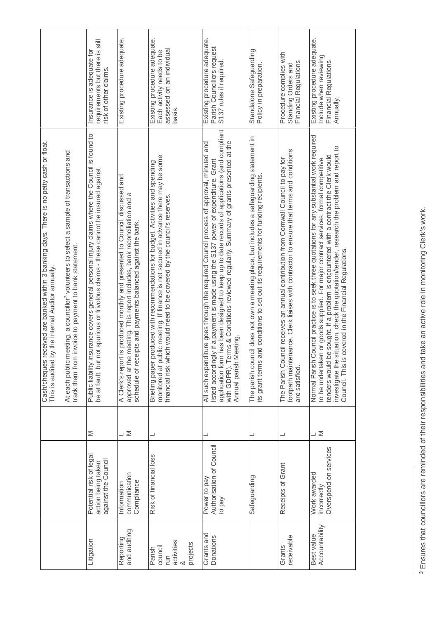|                                                       |                                                                      |                | received are banked within 3 banking days. There is no petty cash or float.<br>by the Internal Auditor annually.<br>This is audited<br>Cash/cheques                                                                                                                                                                                                                                                                                      |                                                                                                  |
|-------------------------------------------------------|----------------------------------------------------------------------|----------------|------------------------------------------------------------------------------------------------------------------------------------------------------------------------------------------------------------------------------------------------------------------------------------------------------------------------------------------------------------------------------------------------------------------------------------------|--------------------------------------------------------------------------------------------------|
|                                                       |                                                                      |                | meeting, a councillor <sup>3</sup> volunteers to select a sample of transactions and<br>track them from invoice to payment to bank statement.<br>At each public                                                                                                                                                                                                                                                                          |                                                                                                  |
| Litigation                                            | Potential risk of legal<br>against the Council<br>action being taken | Σ              | nsurance covers general personal injury claims where the Council is found to<br>not spurious or frivolous claims - these cannot be insured against.<br>be at fault, but<br>Public liability                                                                                                                                                                                                                                              | requirements but there is still<br>Insurance is adequate for<br>risk of other claims.            |
| and auditing<br>Reporting                             | communication<br>Compliance<br>Information                           | $\geq$<br>т    | A Clerk's report is produced monthly and presented to Council, discussed and<br>approved at the meeting. This report includes, bank reconciliation and a<br>schedule of receipts and payments balanced against the bank.                                                                                                                                                                                                                 | Existing procedure adequate.                                                                     |
| activities<br>projects<br>council<br>Parish<br>E<br>∞ | Risk of financial loss                                               | ┙              | monitored at public meeting. If finance is not secured in advance there may be some<br>produced with recommendations for budget. Activities and spending<br>financial risk which would need to be covered by the council's reserves.<br>Briefing paper                                                                                                                                                                                   | Existing procedure adequate.<br>assessed on an individual<br>Each activity needs to be<br>basis. |
| Grants and<br>Donations                               | Authorisation of Council<br>Power to pay<br>to pay                   |                | application form has been designed to keep up to date records of applications (and compliant<br>with GDPR). Terms & Conditions reviewed regularly. Summary of grants presented at the<br>All such expenditure goes through the required Council process of approval, minuted and<br>listed accordingly if a payment is made using the S137 power of expenditure. Grant<br>Annual parish Meeting                                          | Existing procedure adequate.<br>Parish Councillors request<br>S137 rules if required.            |
|                                                       | Safeguarding                                                         |                | The parish council does not own a meeting place, but includes a safeguarding statement in<br>its grant terms and conditions to set out its requirements for funding recipients                                                                                                                                                                                                                                                           | Standalone Safeguarding<br>Policy in preparation.                                                |
| receivable<br>Grants-                                 | Receipts of Grant                                                    |                | footpath maintenance. Clerk liaises with contractor to ensure that terms and conditions<br>The Parish Council receives an annual contribution from Cornwall Council to pay for<br>are satisfied.                                                                                                                                                                                                                                         | Procedure complies with<br>Standing Orders and<br>Financial Regulations                          |
| Best value<br>Accountability                          | Overspend on services<br>Work awarded<br>incorrectly                 | $\overline{z}$ | Council practice is to seek three quotations for any substantial work required<br>investigate the situation, check the quotation/tender, research the problem and report to<br>be sought. If a problem is encountered with a contract the Clerk would<br>to be undertaken or goods supplied. For major contract services, formal competitive<br>Council. This is covered in the Financial Regulations.<br>Normal Parish<br>tenders would | Existing procedure adequate.<br>Include when reviewing<br>Financial Regulations<br>Annually.     |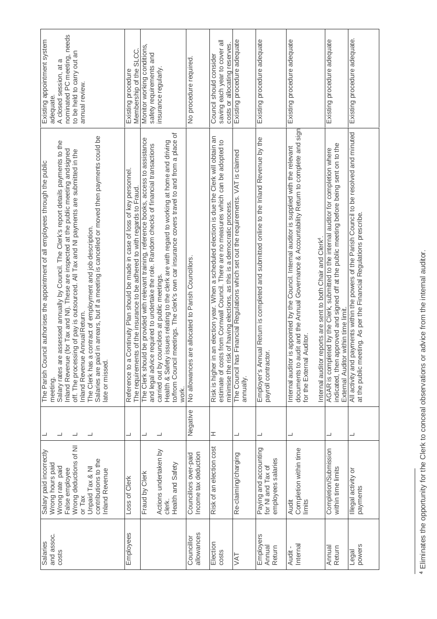| nominated PC meeting, needs<br>Existing appointment system<br>to be held to carry out an<br>A closed session, at a<br>annual review.<br>adequate.                                                                                                                                                                                                                                                                                                                                                                                                                                               | Membership of the SLCC.<br>Existing procedure                                                                                                                   | Monitor working conditions,<br>safety requirements and<br>insurance regularly.                                                                                                                                                                                                                                                                                                                                                                     | No procedure required                                 | saving each year to cover all<br>costs or allocating reserves.<br>Council should consider                                                                                                                                                                        | Existing procedure adequate                                                                       | Existing procedure adequate                                                                                    | Existing procedure adequate                                                                                                                                                                                                                                                                                  | Existing procedure adequate                                                                                                                                                                                                   | Existing procedure adequate.                                                                                                                                       |
|-------------------------------------------------------------------------------------------------------------------------------------------------------------------------------------------------------------------------------------------------------------------------------------------------------------------------------------------------------------------------------------------------------------------------------------------------------------------------------------------------------------------------------------------------------------------------------------------------|-----------------------------------------------------------------------------------------------------------------------------------------------------------------|----------------------------------------------------------------------------------------------------------------------------------------------------------------------------------------------------------------------------------------------------------------------------------------------------------------------------------------------------------------------------------------------------------------------------------------------------|-------------------------------------------------------|------------------------------------------------------------------------------------------------------------------------------------------------------------------------------------------------------------------------------------------------------------------|---------------------------------------------------------------------------------------------------|----------------------------------------------------------------------------------------------------------------|--------------------------------------------------------------------------------------------------------------------------------------------------------------------------------------------------------------------------------------------------------------------------------------------------------------|-------------------------------------------------------------------------------------------------------------------------------------------------------------------------------------------------------------------------------|--------------------------------------------------------------------------------------------------------------------------------------------------------------------|
| Salaries are paid in arrears, but if a meeting is cancelled or moved then payments could be<br>Salary rates are assessed annually by Council. The Clerk's report details payments to the<br>Inland Revenue (for Tax and NI). These are inspected at the public meeting and signed<br>off. The processing of pay is outsourced. All Tax and NI payments are submitted in the<br>The Parish Council authorises the appointment of all employees through the public<br>The Clerk has a contract of employment and job description.<br>Inland Revenue Annual Return.<br>late or missed.<br>meeting. | Continuity Plan should be made in case of loss of key personnel.<br>The requirements of the insurance to be adhered to with regards to Fraud.<br>Reference to a | meetings. The clerk's own car insurance covers travel to and from a place of<br>The Clerk should be provided with relevant training, reference books, access to assistance<br>Health & Safety issues relating to the clerk are with regard to working at home and driving<br>and legal advice required to undertake the role. Random checks of financial transactions<br>carried out by councilors at public meetings.<br>to/from Council<br>work. | are allocated to Parish Councillors.<br>No allowances | Risk is higher in an election year. When a scheduled election is due the Clerk will obtain an<br>estimate of costs from Comwall Council. There are no measures which can be adopted to<br>minimise the risk of having elections, as this is a democratic process | The Council has Financial Regulations which set out the requirements. VAT is claimed<br>annually. | Employer's Annual Return is completed and submitted online to the Inland Revenue by the<br>payroll contractor. | udit and the Annual Governance & Accountability Return to complete and sign<br>is appointed by the Council. Internal auditor is supplied with the relevant<br>Internal auditor reports are sent to both Chair and Clerk <sup>4</sup> .<br>Auditor.<br>Internal auditor<br>documents to a<br>for the External | approved and signed off at the public meeting before being sent on to the<br>AGAR is completed by the Clerk, submitted to the internal auditor for completion where<br>External Auditor within time limit.<br>indicated, then | All activity and payments within the powers of the Parish Council to be resolved and minuted<br>at the public meeting. As per the Financial Regulations prescribe. |
| ┙<br>┙<br>┙                                                                                                                                                                                                                                                                                                                                                                                                                                                                                                                                                                                     | ┙                                                                                                                                                               | ┙<br>ᆜ                                                                                                                                                                                                                                                                                                                                                                                                                                             | Negative                                              | I                                                                                                                                                                                                                                                                | ┙                                                                                                 | ┙                                                                                                              | ┙                                                                                                                                                                                                                                                                                                            | ┙                                                                                                                                                                                                                             | ┙                                                                                                                                                                  |
| Wrong deductions of NI<br>Salary paid incorrectly<br>contributions to the<br>Wrong hours paid<br>Wrong rate paid<br>Unpaid Tax & NI<br>False employee<br><b>Inland Revenue</b><br>or Tax                                                                                                                                                                                                                                                                                                                                                                                                        | Loss of Clerk                                                                                                                                                   | Actions undertaken by<br>Health and Safety<br>Fraud by Clerk<br>clerk.                                                                                                                                                                                                                                                                                                                                                                             | Income tax deduction<br>Councillors over-paid         | Risk of an election cost                                                                                                                                                                                                                                         | Re-claiming/charging                                                                              | Paying and accounting<br>employees salaries<br>for NI and Tax of                                               | Completion within time<br>Audit<br>limits                                                                                                                                                                                                                                                                    | Completion/Submission<br>within time limits                                                                                                                                                                                   | Illegal activity or<br>payments                                                                                                                                    |
| and assoc.<br>Salaries<br>costs                                                                                                                                                                                                                                                                                                                                                                                                                                                                                                                                                                 | Employees                                                                                                                                                       |                                                                                                                                                                                                                                                                                                                                                                                                                                                    | allowances<br>Councillor                              | Election<br>costs                                                                                                                                                                                                                                                | JAT                                                                                               | Employers<br>Annual<br>Return                                                                                  | Internal<br>Audit -                                                                                                                                                                                                                                                                                          | Annual<br>Return                                                                                                                                                                                                              | powers<br>Legal                                                                                                                                                    |